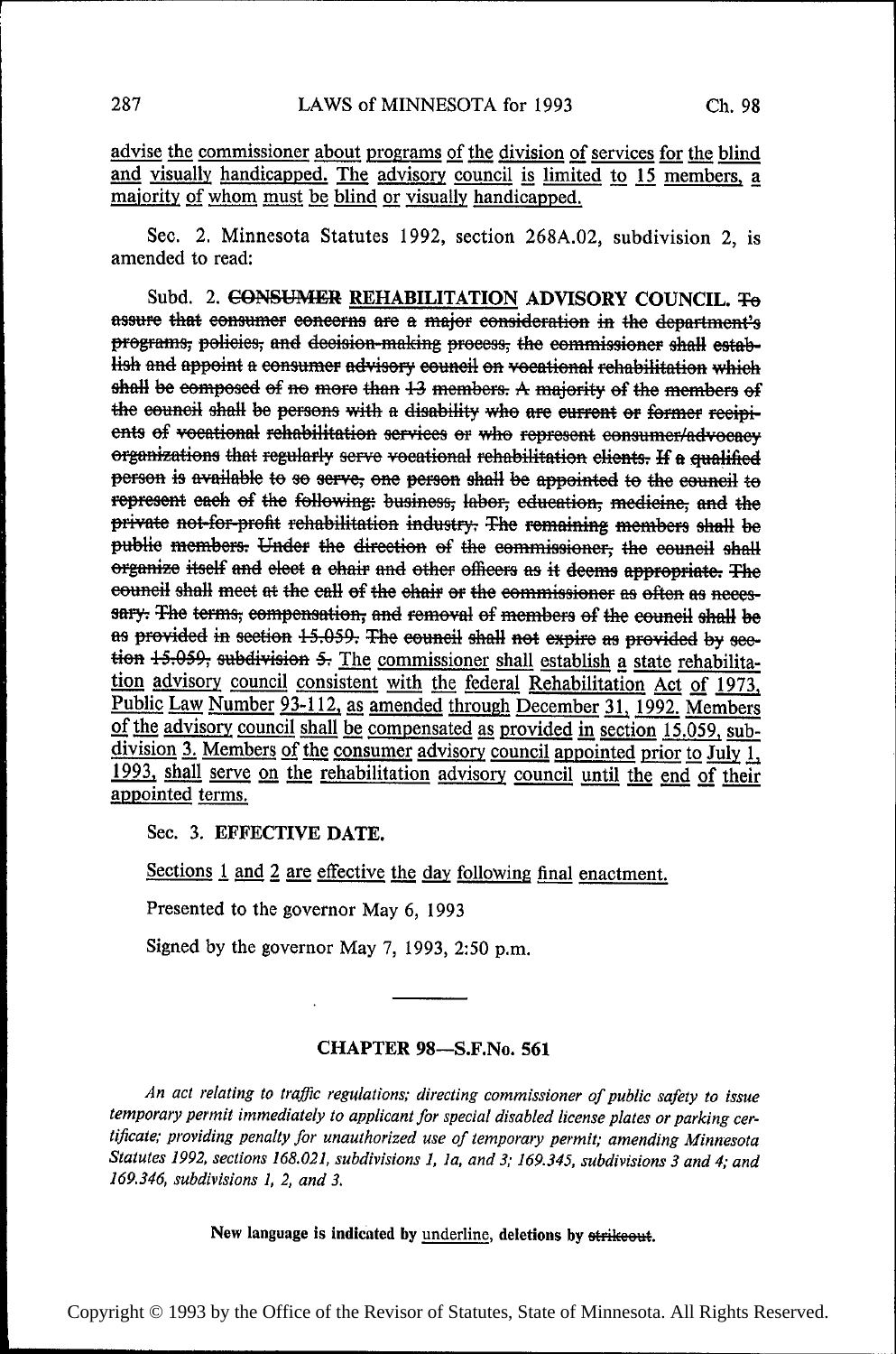advise the commissioner about programs of the division of services for the blind and visually handicapped. The advisory council is limited to 15 members, a majority of whom must be blind or visually handicapped.

Sec. 2. Minnesota Statutes 1992, section 268A.02, subdivision 2, is amended to read:

Subd. 2. CONSUMER REHABILITATION ADVISORY COUNCIL. To assure that consumer concerns are a major consideration in the department's programs, policies, and decision-making process, the commissioner shall establish and appoint a consumer advisory council on vocational rehabilitation which shall be composed of no more than 13 members. A majority of the members of the council shall be persons with a disability who are current or former recipients of vocational rehabilitation services or who represent consumer/advocacy organizations that regularly serve vocational rehabilitation clients. If a qualified person is available to so serve, one person shall be appointed to the council to represent each of the following: business, labor, education, medicine, and the private not-for-profit rehabilitation industry. The remaining members shall be public members. Under the direction of the commissioner, the council shall organize itself and elect a chair and other officers as it deems appropriate. The council shall meet at the call of the chair or the commissioner as often as necessary. The terms, compensation, and removal of members of the council shall be as provided in section 15.059. The council shall not expire as provided by section 15.059, subdivision 5. The commissioner shall establish a state rehabilitation advisory council consistent with the federal Rehabilitation Act of 1973, Public Law Number 93-112, as amended through December 31, 1992. Members of the advisory council shall be compensated as provided in section 15.059, subdivision 3. Members of the consumer advisory council appointed prior to July 1, 1993, shall serve on the rehabilitation advisory council until the end of their appointed terms.

Sec. 3. EFFECTIVE DATE.

Sections 1 and 2 are effective the day following final enactment.

Presented to the governor May 6, 1993

Signed by the governor May 7, 1993, 2:50 p.m.

## **CHAPTER 98-S.F.No. 561**

An act relating to traffic regulations; directing commissioner of public safety to issue temporary permit immediately to applicant for special disabled license plates or parking certificate; providing penalty for unauthorized use of temporary permit; amending Minnesota Statutes 1992, sections 168.021, subdivisions 1, 1a, and 3; 169.345, subdivisions 3 and 4; and 169.346, subdivisions 1, 2, and 3.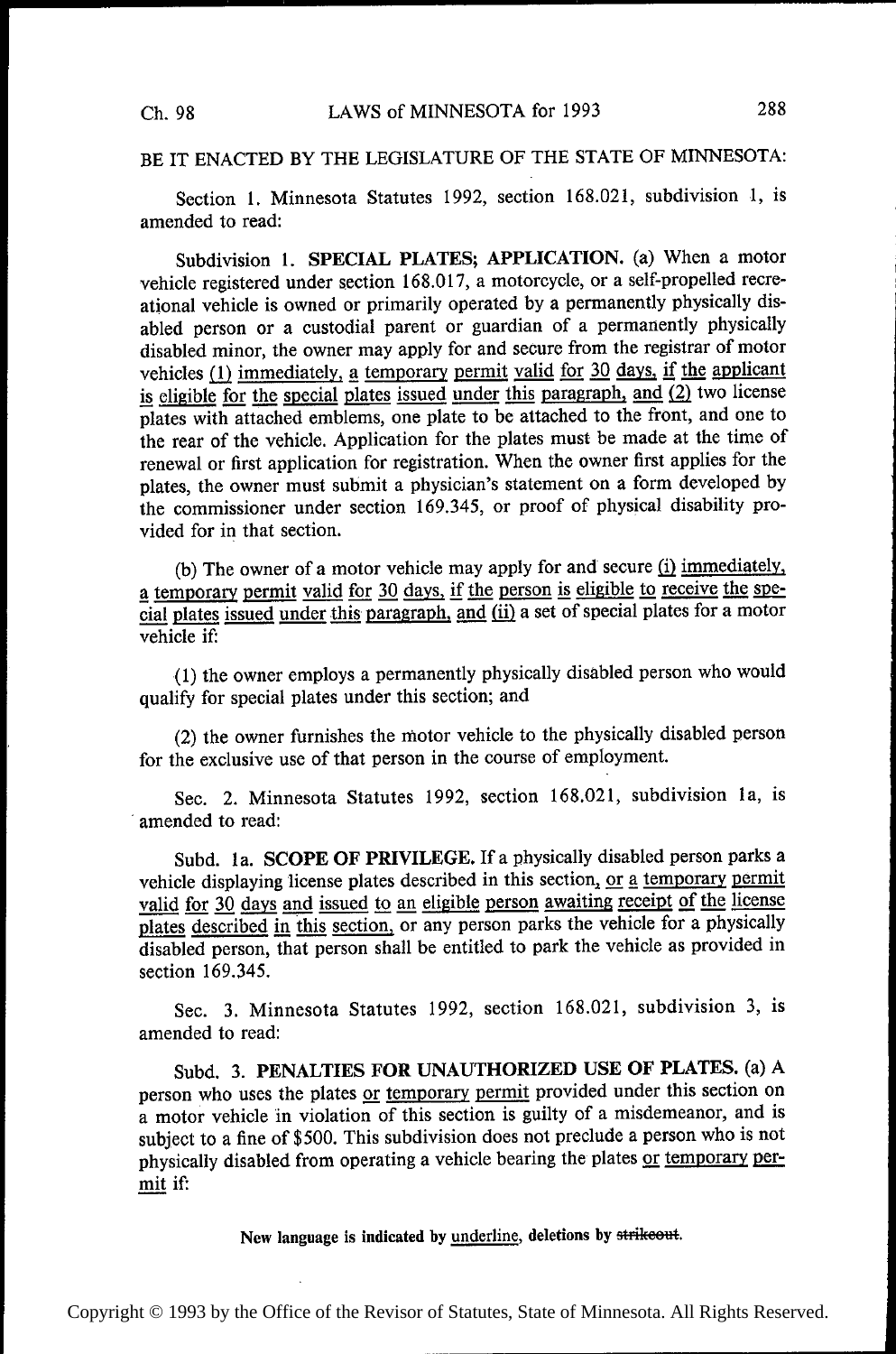## BE IT ENACTED BY THE LEGISLATURE OF THE STATE OF MINNESOTA:

Section 1. Minnesota Statutes 1992, section 168.021, subdivision 1, is amended to read:

Subdivision 1. SPECIAL PLATES; APPLICATION. (a) When a motor vehicle registered under section 168.017, a motorcycle, or a self-propelled recreational vehicle is owned or primarily operated by a permanently physically disabled person or a custodial parent or guardian of a permanently physically disabled minor, the owner may apply for and secure from the registrar of motor vehicles  $(1)$  immediately, a temporary permit valid for 30 days, if the applicant is eligible for the special plates issued under this paragraph, and  $(2)$  two license plates with attached emblems, one plate to be attached to the front, and one to the rear of the vehicle. Application for the plates must be made at the time of renewal or first application for registration. When the owner first applies for the plates, the owner must submit a physician's statement on a form developed by the commissioner under section 169.345, or proof of physical disability provided for in that section.

(b) The owner of a motor vehicle may apply for and secure  $(i)$  immediately, a temporary permit valid for 30 days, if the person is eligible to receive the special plates issued under this paragraph, and (ii) a set of special plates for a motor vehicle if:

(1) the owner employs a permanently physically disabled person who would qualify for special plates under this section; and

(2) the owner furnishes the motor vehicle to the physically disabled person for the exclusive use of that person in the course of employment.

Sec. 2. Minnesota Statutes 1992, section 168.021, subdivision la, is amended to read:

Subd. la. SCOPE OF PRIVILEGE. If a physically disabled person parks <sup>a</sup> vehicle displaying license plates described in this section, or a temporary permit valid for 30 days and issued to an eligible person awaiting receipt of the license valid for 30 days and issued to an eligible person awaiting receipt of the license<br>plates described in this section, or any person parks the vehicle for a physically plates described in this section, or any person parks the vehicle for a physically<br>disolated person, that person shall be entitled to park the vehicle as provided in disabled person, that person shall be entitled to park the vehicle as provided in section 169.345.

Sec. 3. Minnesota Statutes 1992, section 168.021, subdivision 3, is amended to read:

Subd. 3. PENALTIES FOR UNAUTHORIZED USE OF PLATES. (a) A person who uses the plates or temporary permit provided under this section on <sup>a</sup>motor vehicle in violation of this section is guilty of a misdemeanor, and is subject to a fine of \$500. This subdivision does not preclude a person who is not physically disabled from operating a vehicle bearing the plates or temporary permit if: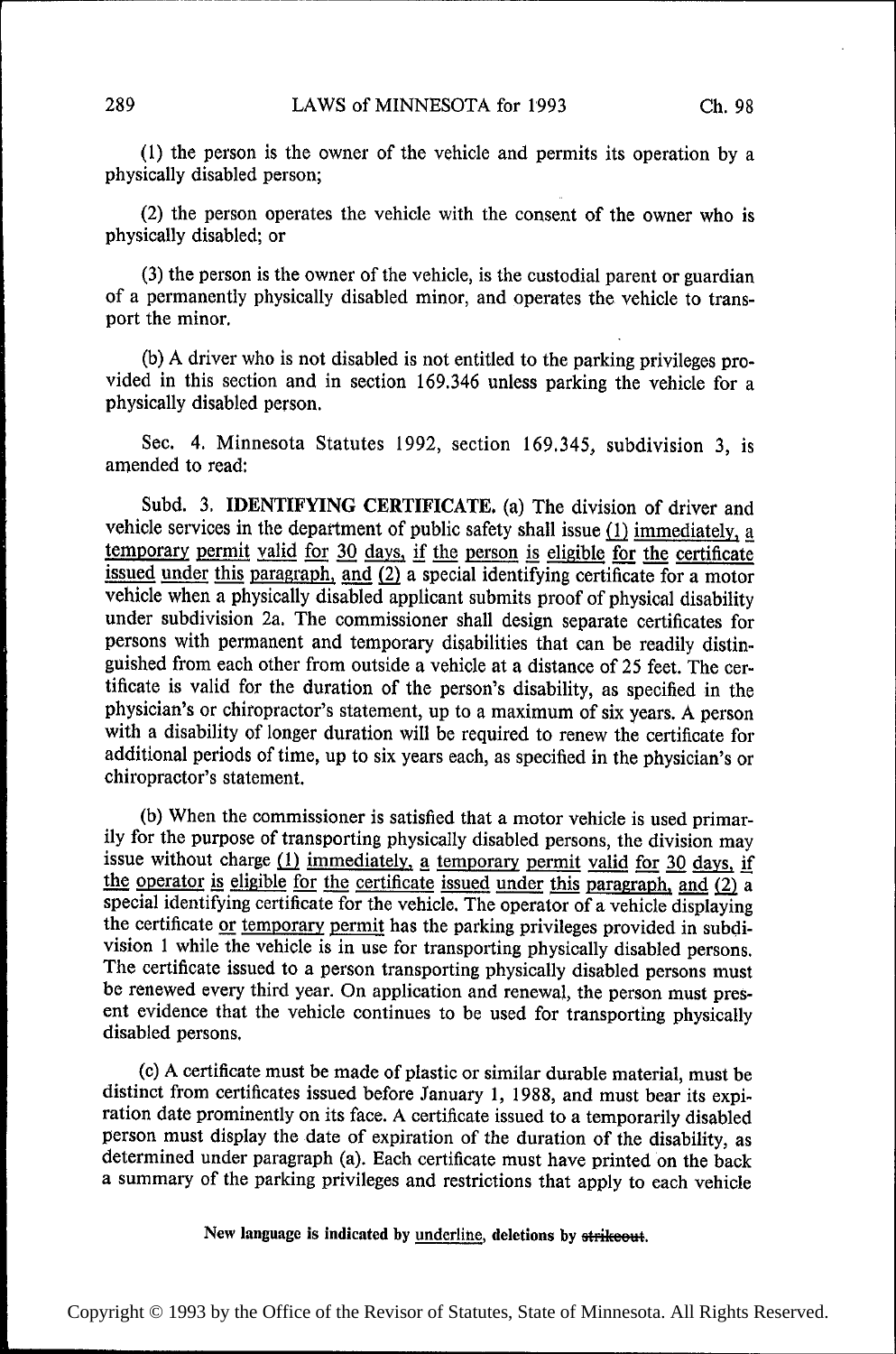(1) the person is the owner of the vehicle and permits its operation by <sup>a</sup> physically disabled person;

(2) the person operates the vehicle with the consent of the owner who is physically disabled; or

(3) the person is the owner of the vehicle, is the custodial parent or guardian of a permanently physically disabled minor, and operates the vehicle to transport the minor.

(b) A driver who is not disabled is not entitled to the parking privileges provided in this section and in section 169.346 unless parking the vehicle for a physically disabled person.

Sec. 4. Minnesota Statutes 1992, section 169.345, subdivision 3, is amended to read:

Subd. 3. IDENTIFYING CERTIFICATE. (a) The division of driver and vehicle services in the department of public safety shall issue  $(1)$  immediately, a temporary permit valid for 30 days, if the person is eligible for the certificate issued under this paragraph, and  $(2)$  a special identifying certificate for a motor vehicle when a physically disabled applicant submits proof of physical disability under subdivision 2a. The commissioner shall design separate certificates for persons with permanent and temporary disabilities that can be readily distinguished from each other from outside a vehicle at a distance of 25 feet. The certificate is valid for the duration of the person's disability, as specified in the physician's or chiropractor's statement, up to <sup>a</sup>maximum of six years. A person with a disability of longer duration will be required to renew the certificate for additional periods of time, up to six years each, as specified in the physician's or chiropractor's statement.

(b) When the commissioner is satisfied that a motor vehicle is used primarily for the purpose of transporting physically disabled persons, the division may issue without charge  $(1)$  immediately, a temporary permit valid for 30 days, if the operator is eligible for the certificate issued under this paragraph, and  $(2)$  a special identifying certificate for the vehicle. The operator of a vehicle displaying the certificate or temporary permit has the parking privileges provided in subdivision 1 while the vehicle is in use for transporting physically disabled persons. The certificate issued to a person transporting physically disabled persons must be renewed every third year. On application and renewal, the person must present evidence that the vehicle continues to be used for transporting physically disabled persons.

(c) A certificate must be made of plastic or similar durable material, must be distinct from certificates issued before January 1, 1988, and must bear its expiration date prominently on its face. A certificate issued to a temporarily disabled person must display the date of expiration of the duration of the disability, as determined under paragraph (a). Each certificate must have printed on the back <sup>a</sup>summary of the parking privileges and restrictions that apply to each vehicle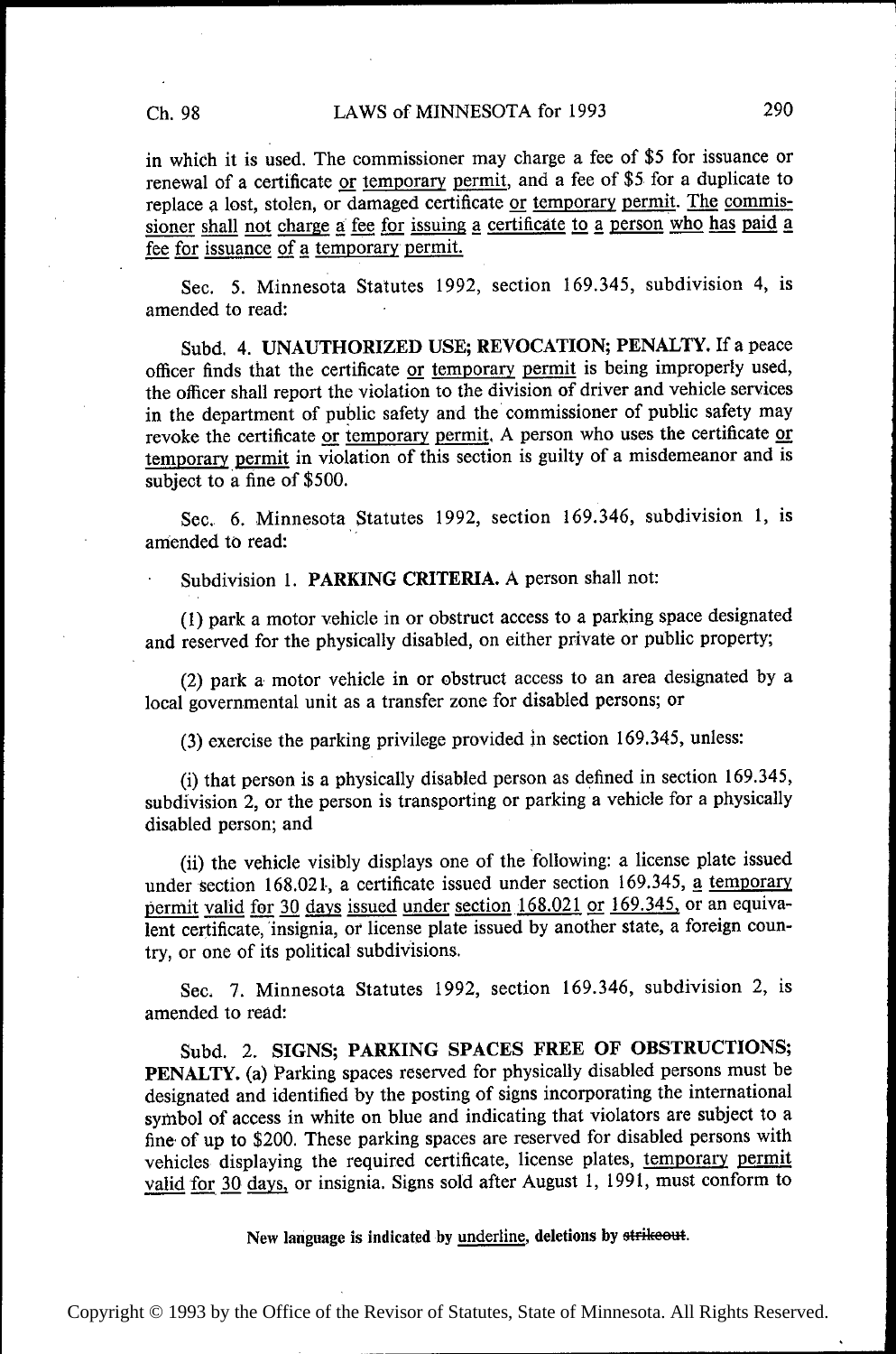in which it is used. The commissioner may charge a fee of \$5 for issuance or renewal of a certificate or temporary permit, and a fee of \$5 for a duplicate to replace a lost, stolen, or damaged certificate or temporary permit. The commissioner shall not charge a fee for issuing a certificate to a person who has paid a fee for issuance of a temporary permit.

Sec. 5. Minnesota Statutes 1992, section 169.345, subdivision 4, is amended to read:

Subd. 4. UNAUTHORIZED USE; REVOCATION; PENALTY. If a peace officer finds that the certificate or temporary permit is being improperly used, the oflicer shall report the violation to the division of driver and vehicle services in the department of public safety and the commissioner of public safety may revoke the certificate or temporary permit. A person who uses the certificate or temporary permit in violation of this section is guilty of a misdemeanor and is subject to a fine of \$500.

Sec. 6. Minnesota Statutes 1992, section 169.346, subdivision 1, is amended to read:

Subdivision 1. PARKING CRITERIA. A person shall not:

(1) park a motor vehicle in or obstruct access to a parking space designated and reserved for the physically disabled, on either private or public property;

(2) park a motor vehicle in or obstruct access to an area designated by <sup>a</sup> local governmental unit as a transfer zone for disabled persons; or

(3) exercise the parking privilege provided in section 169.345, unless:

(i) that person is a physically disabled person as defined in section 169.345, subdivision 2, or the person is transporting or parking a vehicle for a physically disabled person; and

(ii) the vehicle visibly displays one of the 'following: a license plate issued under section 168.021, a certificate issued under section 169.345, a temporary permit valid for 30 days issued under section  $168.021$  or  $169.345$ , or an equivalent certificate, insignia, or license plate issued by another state, a foreign country, or one of its political subdivisions.

Sec. 7. Minnesota Statutes 1992, section 169.346, subdivision 2, is amended to read:

Subd. 2. SIGNS; PARKING SPACES FREE OF OBSTRUCTIONS; PENALTY. (a) Parking spaces reserved for physically disabled persons must be designated and identified by the posting of signs incorporating the international symbol of access in white on blue and indicating that violators are subject to a fine' of up to \$200. These parking spaces are reserved for disabled persons with vehicles displaying the required certificate, license plates, temporary permit valid for 30 days, or insignia. Signs sold after August 1, 1991, must conform to